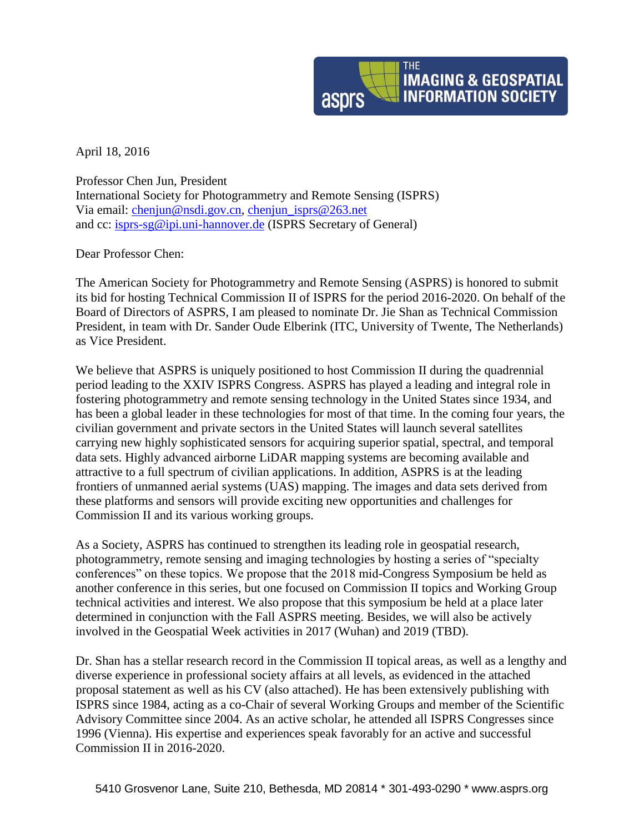

April 18, 2016

Professor Chen Jun, President International Society for Photogrammetry and Remote Sensing (ISPRS) Via email: [chenjun@nsdi.gov.cn,](mailto:chenjun@nsdi.gov.cn) [chenjun\\_isprs@263.net](mailto:chenjun_isprs@263.net) and cc: [isprs-sg@ipi.uni-hannover.de](mailto:isprs-sg@ipi.uni-hannover.de) (ISPRS Secretary of General)

Dear Professor Chen:

The American Society for Photogrammetry and Remote Sensing (ASPRS) is honored to submit its bid for hosting Technical Commission II of ISPRS for the period 2016-2020. On behalf of the Board of Directors of ASPRS, I am pleased to nominate Dr. Jie Shan as Technical Commission President, in team with Dr. Sander Oude Elberink (ITC, University of Twente, The Netherlands) as Vice President.

We believe that ASPRS is uniquely positioned to host Commission II during the quadrennial period leading to the XXIV ISPRS Congress. ASPRS has played a leading and integral role in fostering photogrammetry and remote sensing technology in the United States since 1934, and has been a global leader in these technologies for most of that time. In the coming four years, the civilian government and private sectors in the United States will launch several satellites carrying new highly sophisticated sensors for acquiring superior spatial, spectral, and temporal data sets. Highly advanced airborne LiDAR mapping systems are becoming available and attractive to a full spectrum of civilian applications. In addition, ASPRS is at the leading frontiers of unmanned aerial systems (UAS) mapping. The images and data sets derived from these platforms and sensors will provide exciting new opportunities and challenges for Commission II and its various working groups.

As a Society, ASPRS has continued to strengthen its leading role in geospatial research, photogrammetry, remote sensing and imaging technologies by hosting a series of "specialty conferences" on these topics. We propose that the 2018 mid-Congress Symposium be held as another conference in this series, but one focused on Commission II topics and Working Group technical activities and interest. We also propose that this symposium be held at a place later determined in conjunction with the Fall ASPRS meeting. Besides, we will also be actively involved in the Geospatial Week activities in 2017 (Wuhan) and 2019 (TBD).

Dr. Shan has a stellar research record in the Commission II topical areas, as well as a lengthy and diverse experience in professional society affairs at all levels, as evidenced in the attached proposal statement as well as his CV (also attached). He has been extensively publishing with ISPRS since 1984, acting as a co-Chair of several Working Groups and member of the Scientific Advisory Committee since 2004. As an active scholar, he attended all ISPRS Congresses since 1996 (Vienna). His expertise and experiences speak favorably for an active and successful Commission II in 2016-2020.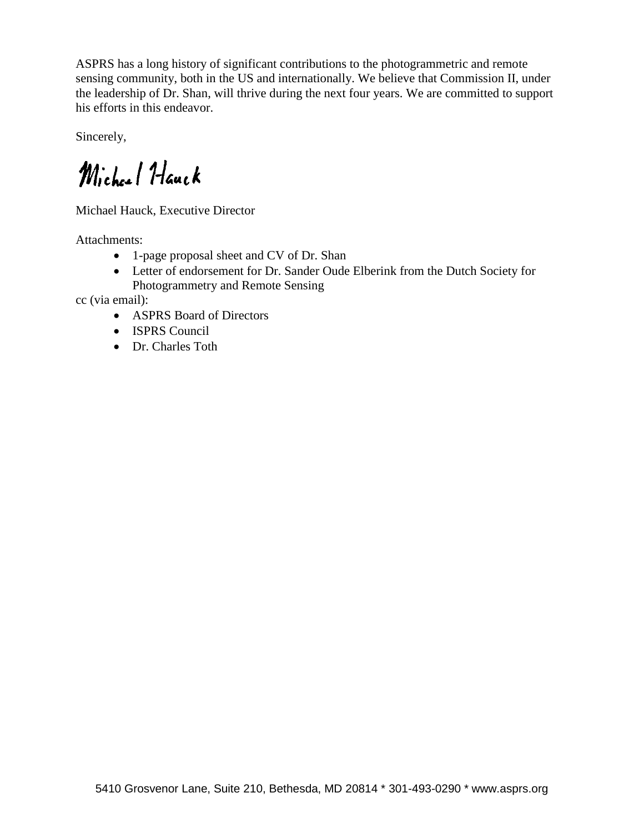ASPRS has a long history of significant contributions to the photogrammetric and remote sensing community, both in the US and internationally. We believe that Commission II, under the leadership of Dr. Shan, will thrive during the next four years. We are committed to support his efforts in this endeavor.

Sincerely,

Michael Hauck

Michael Hauck, Executive Director

Attachments:

- 1-page proposal sheet and CV of Dr. Shan
- Letter of endorsement for Dr. Sander Oude Elberink from the Dutch Society for Photogrammetry and Remote Sensing

cc (via email):

- ASPRS Board of Directors
- ISPRS Council
- Dr. Charles Toth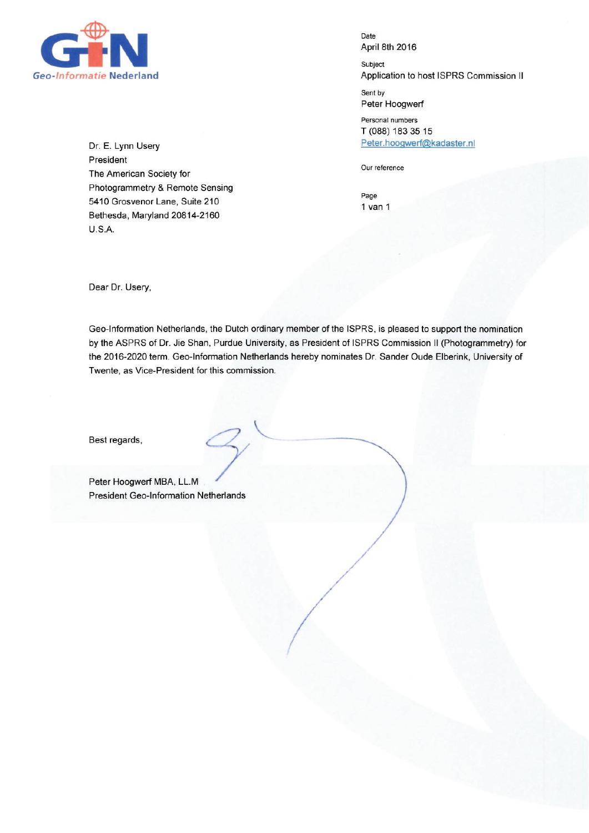

Dr. E. Lynn Usery President The American Society for Photogrammetry & Remote Sensing 5410 Grosvenor Lane, Suite 210 Bethesda, Maryland 20814-2160 **U.S.A.** 

Date April 8th 2016

Subject Application to host ISPRS Commission II

Sent by Peter Hoogwerf

Personal numbers T (088) 183 35 15 Peter.hoogwerf@kadaster.nl

Our reference

Page  $1$  van  $1$ 

Dear Dr. Usery,

Geo-Information Netherlands, the Dutch ordinary member of the ISPRS, is pleased to support the nomination by the ASPRS of Dr. Jie Shan, Purdue University, as President of ISPRS Commission II (Photogrammetry) for the 2016-2020 term. Geo-Information Netherlands hereby nominates Dr. Sander Oude Elberink, University of Twente, as Vice-President for this commission.

Best regards,

Peter Hoogwerf MBA, LL.M **President Geo-Information Netherlands**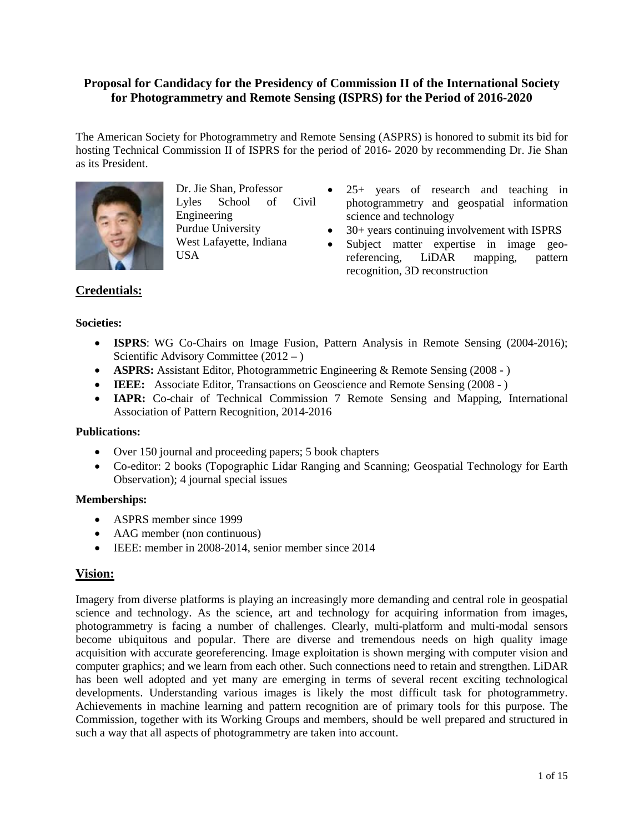# **Proposal for Candidacy for the Presidency of Commission II of the International Society for Photogrammetry and Remote Sensing (ISPRS) for the Period of 2016-2020**

The American Society for Photogrammetry and Remote Sensing (ASPRS) is honored to submit its bid for hosting Technical Commission II of ISPRS for the period of 2016- 2020 by recommending Dr. Jie Shan as its President.



Dr. Jie Shan, Professor Lyles School of Civil Engineering Purdue University West Lafayette, Indiana USA

- 25+ years of research and teaching in photogrammetry and geospatial information science and technology
- 30+ years continuing involvement with ISPRS
- Subject matter expertise in image georeferencing, LiDAR mapping, pattern recognition, 3D reconstruction

# **Credentials:**

### **Societies:**

- **ISPRS**: WG Co-Chairs on Image Fusion, Pattern Analysis in Remote Sensing (2004-2016); Scientific Advisory Committee (2012 – )
- **ASPRS:** Assistant Editor, Photogrammetric Engineering & Remote Sensing (2008 )
- **IEEE:** Associate Editor, Transactions on Geoscience and Remote Sensing (2008 )
- **IAPR:** Co-chair of Technical Commission 7 Remote Sensing and Mapping, International Association of Pattern Recognition, 2014-2016

## **Publications:**

- Over 150 journal and proceeding papers; 5 book chapters
- Co-editor: 2 books (Topographic Lidar Ranging and Scanning; Geospatial Technology for Earth Observation); 4 journal special issues

## **Memberships:**

- ASPRS member since 1999
- AAG member (non continuous)
- IEEE: member in 2008-2014, senior member since 2014

# **Vision:**

Imagery from diverse platforms is playing an increasingly more demanding and central role in geospatial science and technology. As the science, art and technology for acquiring information from images, photogrammetry is facing a number of challenges. Clearly, multi-platform and multi-modal sensors become ubiquitous and popular. There are diverse and tremendous needs on high quality image acquisition with accurate georeferencing. Image exploitation is shown merging with computer vision and computer graphics; and we learn from each other. Such connections need to retain and strengthen. LiDAR has been well adopted and yet many are emerging in terms of several recent exciting technological developments. Understanding various images is likely the most difficult task for photogrammetry. Achievements in machine learning and pattern recognition are of primary tools for this purpose. The Commission, together with its Working Groups and members, should be well prepared and structured in such a way that all aspects of photogrammetry are taken into account.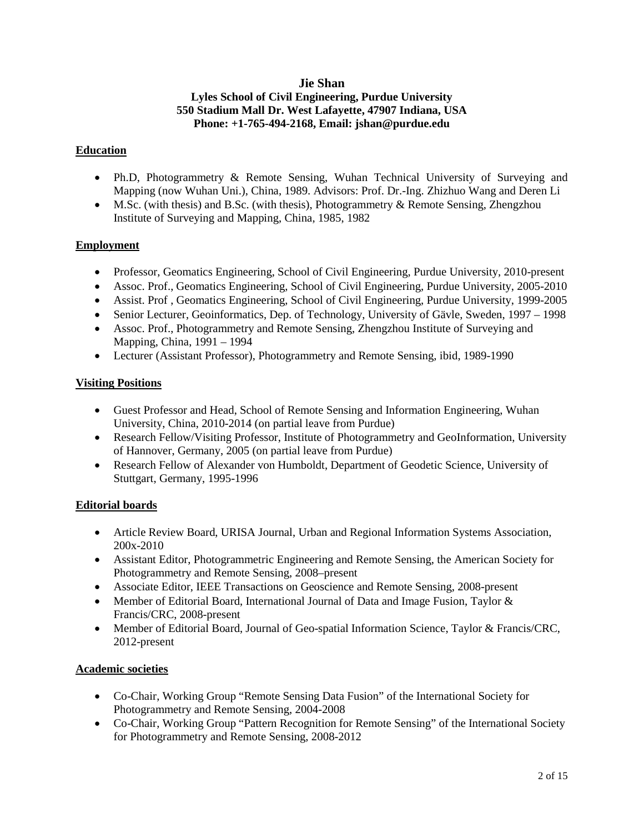# **Jie Shan**

# **Lyles School of Civil Engineering, Purdue University 550 Stadium Mall Dr. West Lafayette, 47907 Indiana, USA Phone: +1-765-494-2168, Email: [jshan@purdue.edu](mailto:jshan@purdue.edu)**

## **Education**

- Ph.D, Photogrammetry & Remote Sensing, Wuhan Technical University of Surveying and Mapping (now Wuhan Uni.), China, 1989. Advisors: Prof. Dr.-Ing. Zhizhuo Wang and Deren Li
- M.Sc. (with thesis) and B.Sc. (with thesis), Photogrammetry & Remote Sensing, Zhengzhou Institute of Surveying and Mapping, China, 1985, 1982

## **Employment**

- Professor, Geomatics Engineering, School of Civil Engineering, Purdue University, 2010-present
- Assoc. Prof., Geomatics Engineering, School of Civil Engineering, Purdue University, 2005-2010
- Assist. Prof , Geomatics Engineering, School of Civil Engineering, Purdue University, 1999-2005
- Senior Lecturer, Geoinformatics, Dep. of Technology, University of Gävle, Sweden, 1997 1998
- Assoc. Prof., Photogrammetry and Remote Sensing, Zhengzhou Institute of Surveying and Mapping, China, 1991 – 1994
- Lecturer (Assistant Professor), Photogrammetry and Remote Sensing, ibid, 1989-1990

## **Visiting Positions**

- Guest Professor and Head, School of Remote Sensing and Information Engineering, Wuhan University, China, 2010-2014 (on partial leave from Purdue)
- Research Fellow/Visiting Professor, Institute of Photogrammetry and GeoInformation, University of Hannover, Germany, 2005 (on partial leave from Purdue)
- Research Fellow of Alexander von Humboldt, Department of Geodetic Science, University of Stuttgart, Germany, 1995-1996

## **Editorial boards**

- Article Review Board, URISA Journal, Urban and Regional Information Systems Association, 200x-2010
- Assistant Editor, Photogrammetric Engineering and Remote Sensing, the American Society for Photogrammetry and Remote Sensing, 2008–present
- Associate Editor, IEEE Transactions on Geoscience and Remote Sensing, 2008-present
- Member of Editorial Board, International Journal of Data and Image Fusion, Taylor & Francis/CRC, 2008-present
- Member of Editorial Board, Journal of Geo-spatial Information Science, Taylor & Francis/CRC, 2012-present

## **Academic societies**

- Co-Chair, Working Group "Remote Sensing Data Fusion" of the International Society for Photogrammetry and Remote Sensing, 2004-2008
- Co-Chair, Working Group "Pattern Recognition for Remote Sensing" of the International Society for Photogrammetry and Remote Sensing, 2008-2012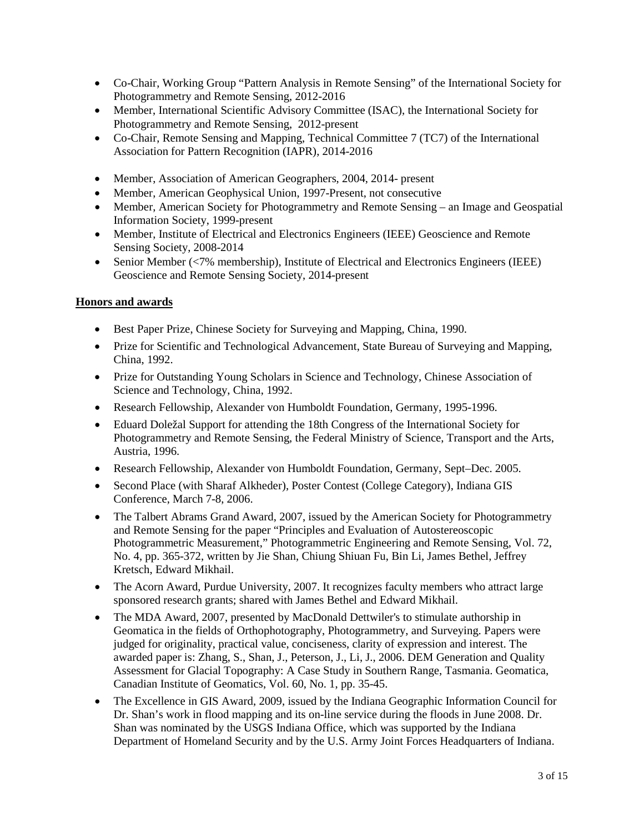- Co-Chair, Working Group "Pattern Analysis in Remote Sensing" of the International Society for Photogrammetry and Remote Sensing, 2012-2016
- Member, International Scientific Advisory Committee (ISAC), the International Society for Photogrammetry and Remote Sensing, 2012-present
- Co-Chair, Remote Sensing and Mapping, Technical Committee 7 (TC7) of the International Association for Pattern Recognition (IAPR), 2014-2016
- Member, Association of American Geographers, 2004, 2014- present
- Member, American Geophysical Union, 1997-Present, not consecutive
- Member, American Society for Photogrammetry and Remote Sensing an Image and Geospatial Information Society, 1999-present
- Member, Institute of Electrical and Electronics Engineers (IEEE) Geoscience and Remote Sensing Society, 2008-2014
- Senior Member (<7% membership), Institute of Electrical and Electronics Engineers (IEEE) Geoscience and Remote Sensing Society, 2014-present

## **Honors and awards**

- Best Paper Prize, Chinese Society for Surveying and Mapping, China, 1990.
- Prize for Scientific and Technological Advancement, State Bureau of Surveying and Mapping, China, 1992.
- Prize for Outstanding Young Scholars in Science and Technology, Chinese Association of Science and Technology, China, 1992.
- Research Fellowship, Alexander von Humboldt Foundation, Germany, 1995-1996.
- Eduard Doležal Support for attending the 18th Congress of the International Society for Photogrammetry and Remote Sensing, the Federal Ministry of Science, Transport and the Arts, Austria, 1996.
- Research Fellowship, Alexander von Humboldt Foundation, Germany, Sept–Dec. 2005.
- Second Place (with Sharaf Alkheder), Poster Contest (College Category), Indiana GIS Conference, March 7-8, 2006.
- The Talbert Abrams Grand Award, 2007, issued by the American Society for Photogrammetry and Remote Sensing for the paper "Principles and Evaluation of Autostereoscopic Photogrammetric Measurement," Photogrammetric Engineering and Remote Sensing, Vol. 72, No. 4, pp. 365-372, written by Jie Shan, Chiung Shiuan Fu, Bin Li, James Bethel, Jeffrey Kretsch, Edward Mikhail.
- The Acorn Award, Purdue University, 2007. It recognizes faculty members who attract large sponsored research grants; shared with James Bethel and Edward Mikhail.
- The MDA Award, 2007, presented by MacDonald Dettwiler's to stimulate authorship in Geomatica in the fields of Orthophotography, Photogrammetry, and Surveying. Papers were judged for originality, practical value, conciseness, clarity of expression and interest. The awarded paper is: Zhang, S., Shan, J., Peterson, J., Li, J., 2006. DEM Generation and Quality Assessment for Glacial Topography: A Case Study in Southern Range, Tasmania. Geomatica, Canadian Institute of Geomatics, Vol. 60, No. 1, pp. 35-45.
- The Excellence in GIS Award, 2009, issued by the Indiana Geographic Information Council for Dr. Shan's work in flood mapping and its on-line service during the floods in June 2008. Dr. Shan was nominated by the USGS Indiana Office, which was supported by the Indiana Department of Homeland Security and by the U.S. Army Joint Forces Headquarters of Indiana.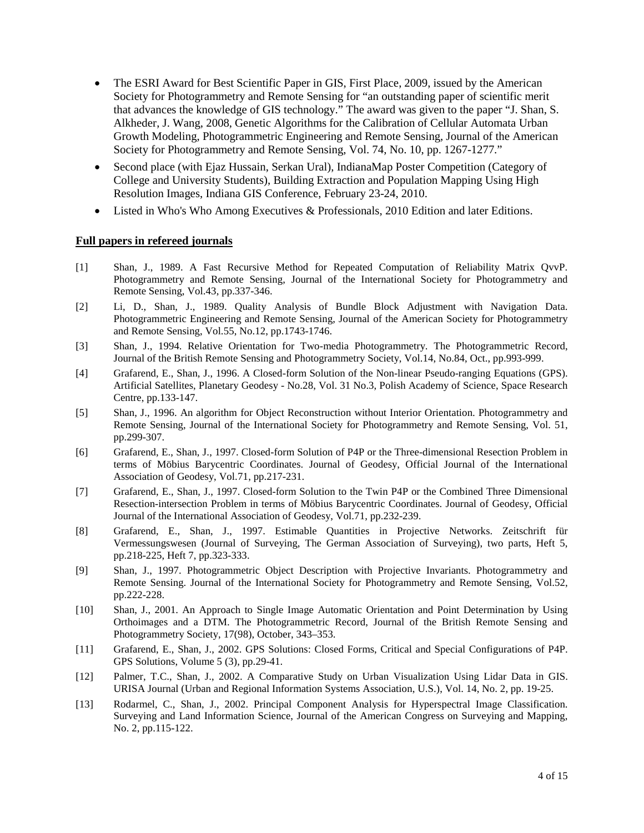- The ESRI Award for Best Scientific Paper in GIS, First Place, 2009, issued by the American Society for Photogrammetry and Remote Sensing for "an outstanding paper of scientific merit that advances the knowledge of GIS technology." The award was given to the paper "J. Shan, S. Alkheder, J. Wang, 2008, Genetic Algorithms for the Calibration of Cellular Automata Urban Growth Modeling, Photogrammetric Engineering and Remote Sensing, Journal of the American Society for Photogrammetry and Remote Sensing, Vol. 74, No. 10, pp. 1267-1277."
- Second place (with Ejaz Hussain, Serkan Ural), IndianaMap Poster Competition (Category of College and University Students), Building Extraction and Population Mapping Using High Resolution Images, Indiana GIS Conference, February 23-24, 2010.
- Listed in Who's Who Among Executives & Professionals, 2010 Edition and later Editions.

#### **Full papers in refereed journals**

- [1] Shan, J., 1989. A Fast Recursive Method for Repeated Computation of Reliability Matrix QvvP. Photogrammetry and Remote Sensing, Journal of the International Society for Photogrammetry and Remote Sensing, Vol.43, pp.337-346.
- [2] Li, D., Shan, J., 1989. Quality Analysis of Bundle Block Adjustment with Navigation Data. Photogrammetric Engineering and Remote Sensing, Journal of the American Society for Photogrammetry and Remote Sensing, Vol.55, No.12, pp.1743-1746.
- [3] Shan, J., 1994. Relative Orientation for Two-media Photogrammetry. The Photogrammetric Record, Journal of the British Remote Sensing and Photogrammetry Society, Vol.14, No.84, Oct., pp.993-999.
- [4] Grafarend, E., Shan, J., 1996. A Closed-form Solution of the Non-linear Pseudo-ranging Equations (GPS). Artificial Satellites, Planetary Geodesy - No.28, Vol. 31 No.3, Polish Academy of Science, Space Research Centre, pp.133-147.
- [5] Shan, J., 1996. An algorithm for Object Reconstruction without Interior Orientation. Photogrammetry and Remote Sensing, Journal of the International Society for Photogrammetry and Remote Sensing, Vol. 51, pp.299-307.
- [6] Grafarend, E., Shan, J., 1997. Closed-form Solution of P4P or the Three-dimensional Resection Problem in terms of Möbius Barycentric Coordinates. Journal of Geodesy, Official Journal of the International Association of Geodesy, Vol.71, pp.217-231.
- [7] Grafarend, E., Shan, J., 1997. Closed-form Solution to the Twin P4P or the Combined Three Dimensional Resection-intersection Problem in terms of Möbius Barycentric Coordinates. Journal of Geodesy, Official Journal of the International Association of Geodesy, Vol.71, pp.232-239.
- [8] Grafarend, E., Shan, J., 1997. Estimable Quantities in Projective Networks. Zeitschrift für Vermessungswesen (Journal of Surveying, The German Association of Surveying), two parts, Heft 5, pp.218-225, Heft 7, pp.323-333.
- [9] Shan, J., 1997. Photogrammetric Object Description with Projective Invariants. Photogrammetry and Remote Sensing. Journal of the International Society for Photogrammetry and Remote Sensing, Vol.52, pp.222-228.
- [10] Shan, J., 2001. An Approach to Single Image Automatic Orientation and Point Determination by Using Orthoimages and a DTM. The Photogrammetric Record, Journal of the British Remote Sensing and Photogrammetry Society, 17(98), October, 343–353.
- [11] Grafarend, E., Shan, J., 2002. GPS Solutions: Closed Forms, Critical and Special Configurations of P4P. GPS Solutions, Volume 5 (3), pp.29-41.
- [12] Palmer, T.C., Shan, J., 2002. A Comparative Study on Urban Visualization Using Lidar Data in GIS. URISA Journal (Urban and Regional Information Systems Association, U.S.), Vol. 14, No. 2, pp. 19-25.
- [13] Rodarmel, C., Shan, J., 2002. Principal Component Analysis for Hyperspectral Image Classification. Surveying and Land Information Science, Journal of the American Congress on Surveying and Mapping, No. 2, pp.115-122.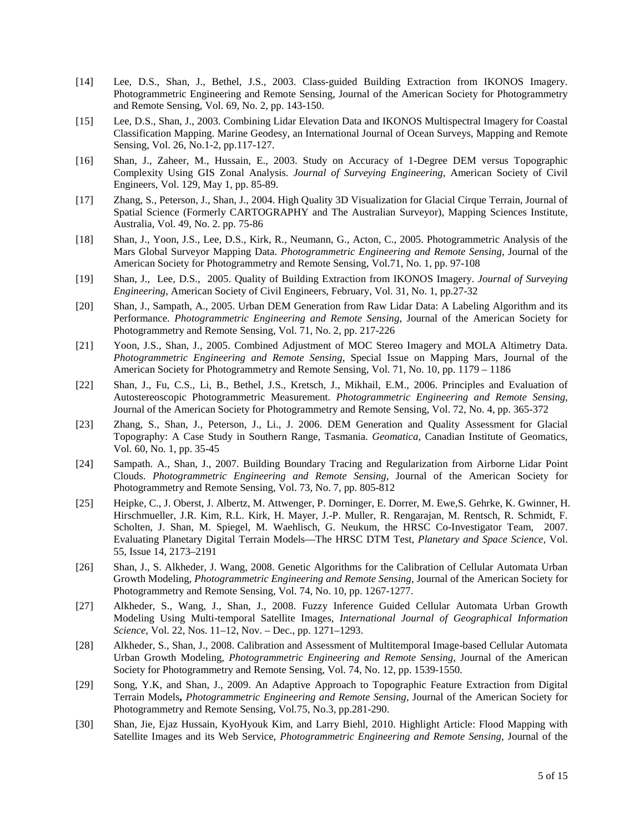- [14] Lee, D.S., Shan, J., Bethel, J.S., 2003. Class-guided Building Extraction from IKONOS Imagery. Photogrammetric Engineering and Remote Sensing, Journal of the American Society for Photogrammetry and Remote Sensing, Vol. 69, No. 2, pp. 143-150.
- [15] Lee, D.S., Shan, J., 2003. Combining Lidar Elevation Data and IKONOS Multispectral Imagery for Coastal Classification Mapping. Marine Geodesy, an International Journal of Ocean Surveys, Mapping and Remote Sensing, Vol. 26, No.1-2, pp.117-127.
- [16] Shan, J., Zaheer, M., Hussain, E., 2003. Study on Accuracy of 1-Degree DEM versus Topographic Complexity Using GIS Zonal Analysis. *Journal of Surveying Engineering*, American Society of Civil Engineers, Vol. 129, May 1, pp. 85-89.
- [17] Zhang, S., Peterson, J., Shan, J., 2004. High Quality 3D Visualization for Glacial Cirque Terrain, Journal of Spatial Science (Formerly CARTOGRAPHY and The Australian Surveyor), Mapping Sciences Institute, Australia, Vol. 49, No. 2. pp. 75-86
- [18] Shan, J., Yoon, J.S., Lee, D.S., Kirk, R., Neumann, G., Acton, C., 2005. Photogrammetric Analysis of the Mars Global Surveyor Mapping Data. *Photogrammetric Engineering and Remote Sensing*, Journal of the American Society for Photogrammetry and Remote Sensing, Vol.71, No. 1, pp. 97-108
- [19] Shan, J., Lee, D.S., 2005. Quality of Building Extraction from IKONOS Imagery. *Journal of Surveying Engineering*, American Society of Civil Engineers, February, Vol. 31, No. 1, pp.27-32
- [20] Shan, J., Sampath, A., 2005. Urban DEM Generation from Raw Lidar Data: A Labeling Algorithm and its Performance. *Photogrammetric Engineering and Remote Sensing*, Journal of the American Society for Photogrammetry and Remote Sensing, Vol. 71, No. 2, pp. 217-226
- [21] Yoon, J.S., Shan, J., 2005. Combined Adjustment of MOC Stereo Imagery and MOLA Altimetry Data. *Photogrammetric Engineering and Remote Sensing*, Special Issue on Mapping Mars, Journal of the American Society for Photogrammetry and Remote Sensing, Vol. 71, No. 10, pp. 1179 – 1186
- [22] Shan, J., Fu, C.S., Li, B., Bethel, J.S., Kretsch, J., Mikhail, E.M., 2006. Principles and Evaluation of Autostereoscopic Photogrammetric Measurement. *Photogrammetric Engineering and Remote Sensing*, Journal of the American Society for Photogrammetry and Remote Sensing, Vol. 72, No. 4, pp. 365-372
- [23] Zhang, S., Shan, J., Peterson, J., Li., J. 2006. DEM Generation and Quality Assessment for Glacial Topography: A Case Study in Southern Range, Tasmania. *Geomatica*, Canadian Institute of Geomatics, Vol. 60, No. 1, pp. 35-45
- [24] Sampath. A., Shan, J., 2007. Building Boundary Tracing and Regularization from Airborne Lidar Point Clouds. *Photogrammetric Engineering and Remote Sensing,* Journal of the American Society for Photogrammetry and Remote Sensing, Vol. 73, No. 7, pp. 805-812
- [25] Heipke, C., J. Oberst, J. Albertz, M. Attwenger, P. Dorninger, E. Dorrer, M. Ewe,S. Gehrke, K. Gwinner, H. Hirschmueller, J.R. Kim, R.L. Kirk, H. Mayer, J.-P. Muller, R. Rengarajan, M. Rentsch, R. Schmidt, F. Scholten, J. Shan, M. Spiegel, M. Waehlisch, G. Neukum, the HRSC Co-Investigator Team, 2007. Evaluating Planetary Digital Terrain Models—The HRSC DTM Test, *Planetary and Space Science,* Vol. 55, Issue 14, 2173–2191
- [26] Shan, J., S. Alkheder, J. Wang, 2008. Genetic Algorithms for the Calibration of Cellular Automata Urban Growth Modeling, *Photogrammetric Engineering and Remote Sensing,* Journal of the American Society for Photogrammetry and Remote Sensing, Vol. 74, No. 10, pp. 1267-1277.
- [27] Alkheder, S., Wang, J., Shan, J., 2008. Fuzzy Inference Guided Cellular Automata Urban Growth Modeling Using Multi-temporal Satellite Images, *International Journal of Geographical Information Science,* Vol. 22, Nos. 11–12, Nov. – Dec., pp. 1271–1293.
- [28] Alkheder, S., Shan, J., 2008. Calibration and Assessment of Multitemporal Image-based Cellular Automata Urban Growth Modeling, *Photogrammetric Engineering and Remote Sensing,* Journal of the American Society for Photogrammetry and Remote Sensing, Vol. 74, No. 12, pp. 1539-1550.
- [29] Song, Y.K, and Shan, J., 2009. An Adaptive Approach to Topographic Feature Extraction from Digital Terrain Models**,** *Photogrammetric Engineering and Remote Sensing,* Journal of the American Society for Photogrammetry and Remote Sensing, Vol.75, No.3, pp.281-290.
- [30] Shan, Jie, Ejaz Hussain, KyoHyouk Kim, and Larry Biehl, 2010. Highlight Article: Flood Mapping with Satellite Images and its Web Service, *Photogrammetric Engineering and Remote Sensing*, Journal of the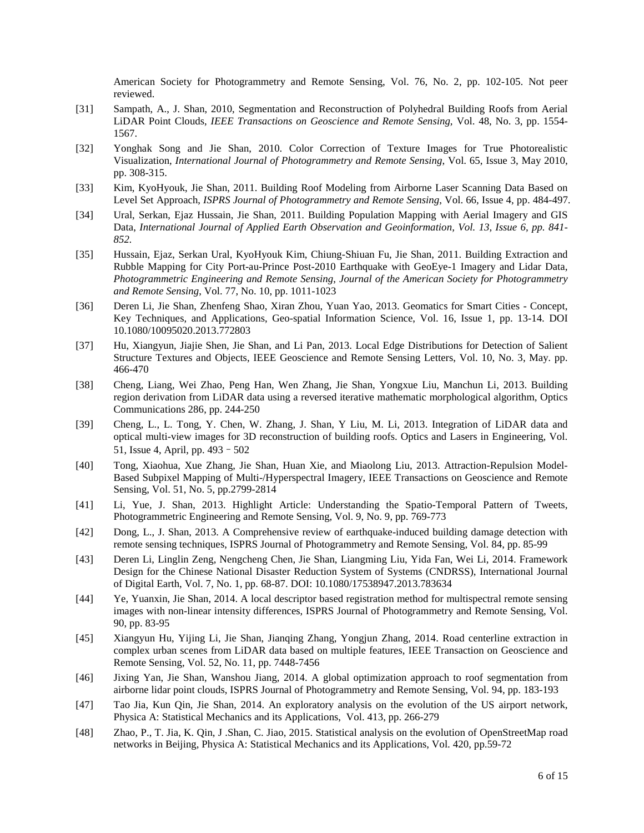American Society for Photogrammetry and Remote Sensing, Vol. 76, No. 2, pp. 102-105. Not peer reviewed.

- [31] Sampath, A., J. Shan, 2010, Segmentation and Reconstruction of Polyhedral Building Roofs from Aerial LiDAR Point Clouds, *IEEE Transactions on Geoscience and Remote Sensing,* Vol. 48, No. 3, pp. 1554- 1567.
- [32] Yonghak Song and Jie Shan, 2010. Color Correction of Texture Images for True Photorealistic Visualization, *International Journal of Photogrammetry and Remote Sensing*, Vol. 65, Issue 3, May 2010, pp. 308-315.
- [33] Kim, KyoHyouk, Jie Shan, 2011. Building Roof Modeling from Airborne Laser Scanning Data Based on Level Set Approach, *ISPRS Journal of Photogrammetry and Remote Sensing*, Vol. 66, Issue 4, pp. 484-497.
- [34] Ural, Serkan, Ejaz Hussain, Jie Shan, 2011. Building Population Mapping with Aerial Imagery and GIS Data, *International Journal of Applied Earth Observation and Geoinformation, Vol. 13, Issue 6, pp. 841- 852.*
- [35] Hussain, Ejaz, Serkan Ural, KyoHyouk Kim, Chiung-Shiuan Fu, Jie Shan, 2011. Building Extraction and Rubble Mapping for City Port-au-Prince Post-2010 Earthquake with GeoEye-1 Imagery and Lidar Data, *Photogrammetric Engineering and Remote Sensing*, *Journal of the American Society for Photogrammetry and Remote Sensing*, Vol. 77, No. 10, pp. 1011-1023
- [36] Deren Li, Jie Shan, Zhenfeng Shao, Xiran Zhou, Yuan Yao, 2013. [Geomatics for Smart Cities -](http://www.tandfonline.com/doi/abs/10.1080/10095020.2013.772803) Concept, [Key Techniques, and Applications,](http://www.tandfonline.com/doi/abs/10.1080/10095020.2013.772803) Geo-spatial Information Science, Vol. 16, Issue 1, pp. 13-14. DOI 10.1080/10095020.2013.772803
- [37] Hu, Xiangyun, Jiajie Shen, Jie Shan, and Li Pan, 2013. Local Edge Distributions for Detection of Salient Structure Textures and Objects, IEEE Geoscience and Remote Sensing Letters, Vol. 10, No. 3, May. pp. 466-470
- [38] Cheng, Liang, Wei Zhao, Peng Han, Wen Zhang, Jie Shan, Yongxue Liu, Manchun Li, 2013. Building region derivation from LiDAR data using a reversed iterative mathematic morphological algorithm, Optics Communications 286, pp. 244-250
- [39] Cheng, L., L. Tong, Y. Chen, W. Zhang, J. Shan, Y Liu, M. Li, 2013. [Integration of LiDAR data and](http://scholar.google.com/citations?view_op=view_citation&hl=en&user=BeLfhAwAAAAJ&sortby=pubdate&citation_for_view=BeLfhAwAAAAJ:D_sINldO8mEC)  [optical multi-view images for 3D reconstruction of building roofs.](http://scholar.google.com/citations?view_op=view_citation&hl=en&user=BeLfhAwAAAAJ&sortby=pubdate&citation_for_view=BeLfhAwAAAAJ:D_sINldO8mEC) Optics and Lasers in Engineering, [Vol.](http://www.sciencedirect.com/science/journal/01438166/51/4)  [51, Issue 4,](http://www.sciencedirect.com/science/journal/01438166/51/4) April, pp. 493–502
- [40] Tong, Xiaohua, Xue Zhang, Jie Shan, Huan Xie, and Miaolong Liu, 2013. Attraction-Repulsion Model-Based Subpixel Mapping of Multi-/Hyperspectral Imagery, IEEE Transactions on Geoscience and Remote Sensing, Vol. 51, No. 5, pp.2799-2814
- [41] Li, Yue, J. Shan, 2013. Highlight Article: Understanding the Spatio-Temporal Pattern of Tweets, Photogrammetric Engineering and Remote Sensing, Vol. 9, No. 9, pp. 769-773
- [42] Dong, L., J. Shan, 2013. A Comprehensive review of earthquake-induced building damage detection with remote sensing techniques, ISPRS Journal of Photogrammetry and Remote Sensing, Vol. 84, pp. 85-99
- [43] Deren Li, Linglin Zeng, Nengcheng Chen, Jie Shan, Liangming Liu, Yida Fan, Wei Li, 2014. Framework Design for the Chinese National Disaster Reduction System of Systems (CNDRSS), International Journal of Digital Earth, Vol. 7, No. 1, pp. 68-87. DOI: 10.1080/17538947.2013.783634
- [44] Ye, Yuanxin, Jie Shan, 2014. [A local descriptor based registration method for multispectral remote sensing](http://scholar.google.com/citations?view_op=view_citation&hl=en&user=XdEkM5IAAAAJ&sortby=pubdate&citation_for_view=XdEkM5IAAAAJ:uLbwQdceFCQC)  [images with non-linear intensity differences,](http://scholar.google.com/citations?view_op=view_citation&hl=en&user=XdEkM5IAAAAJ&sortby=pubdate&citation_for_view=XdEkM5IAAAAJ:uLbwQdceFCQC) ISPRS Journal of Photogrammetry and Remote Sensing, Vol. 90, pp. 83-95
- [45] Xiangyun Hu, [Yijing Li,](http://www.informatik.uni-trier.de/%7Eley/pers/hd/l/Li:Yijing.html) Jie Shan, [Jianqing Zhang,](http://www.informatik.uni-trier.de/%7Eley/pers/hd/z/Zhang:Jianqing.html) Yongjun Zhang, 2014. Road centerline extraction in complex urban scenes from LiDAR data based on multiple features, IEEE Transaction on Geoscience and Remote Sensing, Vol. 52, No. 11, pp. 7448-7456
- [46] Jixing Yan, Jie Shan, Wanshou Jiang, 2014. A global optimization approach to roof segmentation from airborne lidar point clouds, ISPRS Journal of Photogrammetry and Remote Sensing, Vol. 94, pp. 183-193
- [47] Tao Jia, Kun Qin, Jie Shan, 2014. An exploratory analysis on the evolution of the US airport network, Physica A: Statistical Mechanics and its Applications, Vol. 413, pp. 266-279
- [48] Zhao, P., T. Jia, K. Qin, J .Shan, C. Jiao, 2015. Statistical analysis on the evolution of OpenStreetMap road networks in Beijing, Physica A: Statistical Mechanics and its Applications, Vol. 420, pp.59-72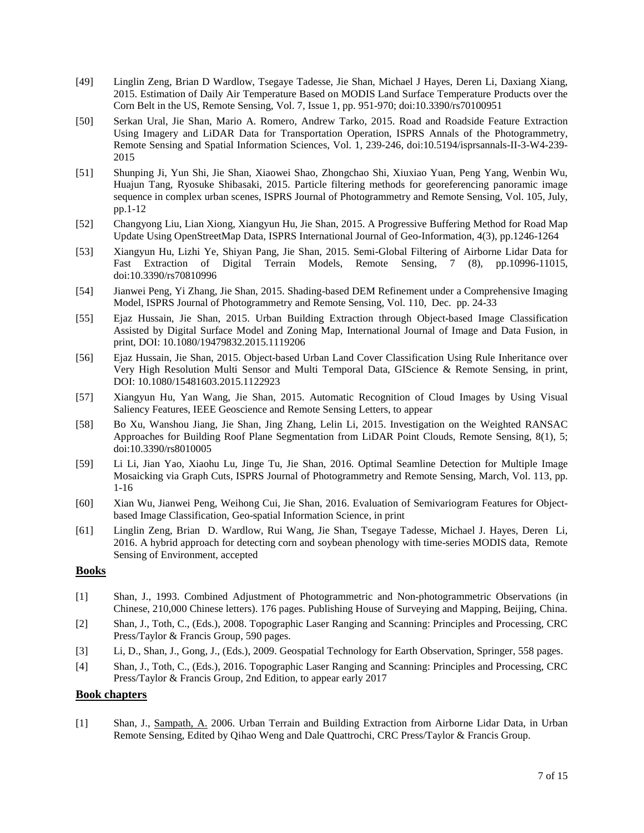- [49] Linglin Zeng, Brian D Wardlow, Tsegaye Tadesse, Jie Shan, Michael J Hayes, Deren Li, Daxiang Xiang, 2015. Estimation of Daily Air Temperature Based on MODIS Land Surface Temperature Products over the Corn Belt in the US, Remote Sensing, Vol. 7, Issue 1, pp. 951-970; doi:10.3390/rs70100951
- [50] Serkan Ural, Jie Shan, Mario A. Romero, Andrew Tarko, 2015. Road and Roadside Feature Extraction Using Imagery and LiDAR Data for Transportation Operation, ISPRS Annals of the Photogrammetry, Remote Sensing and Spatial Information Sciences, Vol. 1, 239-246, doi:10.5194/isprsannals-II-3-W4-239- 2015
- [51] Shunping Ji, Yun Shi, Jie Shan, Xiaowei Shao, Zhongchao Shi, Xiuxiao Yuan, Peng Yang, Wenbin Wu, Huajun Tang, Ryosuke Shibasaki, 2015. Particle filtering methods for georeferencing panoramic image sequence in complex urban scenes, ISPRS Journal of Photogrammetry and Remote Sensing, Vol. 105, July, pp.1-12
- [52] Changyong Liu, Lian Xiong, Xiangyun Hu, Jie Shan, 2015. A Progressive Buffering Method for Road Map Update Using OpenStreetMap Data, ISPRS International Journal of Geo-Information, 4(3), pp.1246-1264
- [53] Xiangyun Hu, Lizhi Ye, Shiyan Pang, Jie Shan, 2015. Semi-Global Filtering of Airborne Lidar Data for Fast Extraction of Digital Terrain Models, Remote Sensing, 7 (8), pp.10996-11015, doi:10.3390/rs70810996
- [54] Jianwei Peng, Yi Zhang, Jie Shan, 2015. Shading-based DEM Refinement under a Comprehensive Imaging Model, ISPRS Journal of Photogrammetry and Remote Sensing, Vol. 110, Dec. pp. 24-33
- [55] Ejaz Hussain, Jie Shan, 2015. Urban Building Extraction through Object-based Image Classification Assisted by Digital Surface Model and Zoning Map, International Journal of Image and Data Fusion, in print, DOI: 10.1080/19479832.2015.1119206
- [56] Ejaz Hussain, Jie Shan, 2015. Object-based Urban Land Cover Classification Using Rule Inheritance over Very High Resolution Multi Sensor and Multi Temporal Data, GIScience & Remote Sensing, in print, DOI: 10.1080/15481603.2015.1122923
- [57] Xiangyun Hu, Yan Wang, Jie Shan, 2015. Automatic Recognition of Cloud Images by Using Visual Saliency Features, IEEE Geoscience and Remote Sensing Letters, to appear
- [58] Bo Xu, Wanshou Jiang, Jie Shan, Jing Zhang, Lelin Li, 2015. Investigation on the Weighted RANSAC Approaches for Building Roof Plane Segmentation from LiDAR Point Clouds, Remote Sensing, 8(1), 5; doi:10.3390/rs8010005
- [59] Li Li, Jian Yao, Xiaohu Lu, Jinge Tu, Jie Shan, 2016. Optimal Seamline Detection for Multiple Image Mosaicking via Graph Cuts, ISPRS Journal of Photogrammetry and Remote Sensing, March, Vol. 113, pp. 1-16
- [60] Xian Wu, Jianwei Peng, Weihong Cui, Jie Shan, 2016. Evaluation of Semivariogram Features for Objectbased Image Classification, Geo-spatial Information Science, in print
- [61] Linglin Zeng, Brian D. Wardlow, Rui Wang, Jie Shan, Tsegaye Tadesse, Michael J. Hayes, Deren Li, 2016. A hybrid approach for detecting corn and soybean phenology with time-series MODIS data, Remote Sensing of Environment, accepted

#### **Books**

- [1] Shan, J., 1993. Combined Adjustment of Photogrammetric and Non-photogrammetric Observations (in Chinese, 210,000 Chinese letters). 176 pages. Publishing House of Surveying and Mapping, Beijing, China.
- [2] Shan, J., Toth, C., (Eds.), 2008. Topographic Laser Ranging and Scanning: Principles and Processing, CRC Press/Taylor & Francis Group, 590 pages.
- [3] Li, D., Shan, J., Gong, J., (Eds.), 2009. Geospatial Technology for Earth Observation, Springer, 558 pages.
- [4] Shan, J., Toth, C., (Eds.), 2016. Topographic Laser Ranging and Scanning: Principles and Processing, CRC Press/Taylor & Francis Group, 2nd Edition, to appear early 2017

#### **Book chapters**

[1] Shan, J., Sampath, A. 2006. Urban Terrain and Building Extraction from Airborne Lidar Data, in Urban Remote Sensing, Edited by Qihao Weng and Dale Quattrochi, CRC Press/Taylor & Francis Group.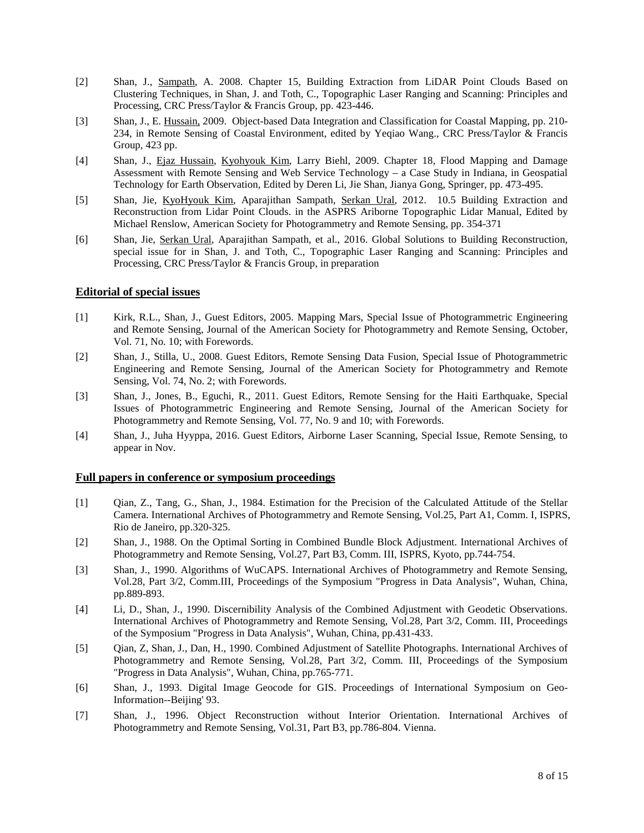- [2] Shan, J., Sampath, A. 2008. Chapter 15, Building Extraction from LiDAR Point Clouds Based on Clustering Techniques, in Shan, J. and Toth, C., Topographic Laser Ranging and Scanning: Principles and Processing, CRC Press/Taylor & Francis Group, pp. 423-446.
- [3] Shan, J., E. Hussain, 2009. Object-based Data Integration and Classification for Coastal Mapping, pp. 210-234, in Remote Sensing of Coastal Environment, edited by Yeqiao Wang., CRC Press/Taylor & Francis Group, 423 pp.
- [4] Shan, J., Ejaz Hussain, Kyohyouk Kim, Larry Biehl, 2009. Chapter 18, Flood Mapping and Damage Assessment with Remote Sensing and Web Service Technology – a Case Study in Indiana, in Geospatial Technology for Earth Observation, Edited by Deren Li, Jie Shan, Jianya Gong, Springer, pp. 473-495.
- [5] Shan, Jie, KyoHyouk Kim, Aparajithan Sampath, Serkan Ural, 2012. 10.5 Building Extraction and Reconstruction from Lidar Point Clouds. in the ASPRS Ariborne Topographic Lidar Manual, Edited by Michael Renslow, American Society for Photogrammetry and Remote Sensing, pp. 354-371
- [6] Shan, Jie, Serkan Ural, Aparajithan Sampath, et al., 2016. Global Solutions to Building Reconstruction, special issue for in Shan, J. and Toth, C., Topographic Laser Ranging and Scanning: Principles and Processing, CRC Press/Taylor & Francis Group, in preparation

### **Editorial of special issues**

- [1] Kirk, R.L., Shan, J., Guest Editors, 2005. Mapping Mars, Special Issue of Photogrammetric Engineering and Remote Sensing, Journal of the American Society for Photogrammetry and Remote Sensing, October, Vol. 71, No. 10; with Forewords.
- [2] Shan, J., Stilla, U., 2008. Guest Editors, Remote Sensing Data Fusion, Special Issue of Photogrammetric Engineering and Remote Sensing, Journal of the American Society for Photogrammetry and Remote Sensing, Vol. 74, No. 2; with Forewords.
- [3] Shan, J., Jones, B., Eguchi, R., 2011. Guest Editors, Remote Sensing for the Haiti Earthquake, Special Issues of Photogrammetric Engineering and Remote Sensing, Journal of the American Society for Photogrammetry and Remote Sensing, Vol. 77, No. 9 and 10; with Forewords.
- [4] Shan, J., Juha Hyyppa, 2016. Guest Editors, Airborne Laser Scanning, Special Issue, Remote Sensing, to appear in Nov.

#### **Full papers in conference or symposium proceedings**

- [1] Qian, Z., Tang, G., Shan, J., 1984. Estimation for the Precision of the Calculated Attitude of the Stellar Camera. International Archives of Photogrammetry and Remote Sensing, Vol.25, Part A1, Comm. I, ISPRS, Rio de Janeiro, pp.320-325.
- [2] Shan, J., 1988. On the Optimal Sorting in Combined Bundle Block Adjustment. International Archives of Photogrammetry and Remote Sensing, Vol.27, Part B3, Comm. III, ISPRS, Kyoto, pp.744-754.
- [3] Shan, J., 1990. Algorithms of WuCAPS. International Archives of Photogrammetry and Remote Sensing, Vol.28, Part 3/2, Comm.III, Proceedings of the Symposium "Progress in Data Analysis", Wuhan, China, pp.889-893.
- [4] Li, D., Shan, J., 1990. Discernibility Analysis of the Combined Adjustment with Geodetic Observations. International Archives of Photogrammetry and Remote Sensing, Vol.28, Part 3/2, Comm. III, Proceedings of the Symposium "Progress in Data Analysis", Wuhan, China, pp.431-433.
- [5] Qian, Z, Shan, J., Dan, H., 1990. Combined Adjustment of Satellite Photographs. International Archives of Photogrammetry and Remote Sensing, Vol.28, Part 3/2, Comm. III, Proceedings of the Symposium "Progress in Data Analysis", Wuhan, China, pp.765-771.
- [6] Shan, J., 1993. Digital Image Geocode for GIS. Proceedings of International Symposium on Geo-Information--Beijing' 93.
- [7] Shan, J., 1996. Object Reconstruction without Interior Orientation. International Archives of Photogrammetry and Remote Sensing, Vol.31, Part B3, pp.786-804. Vienna.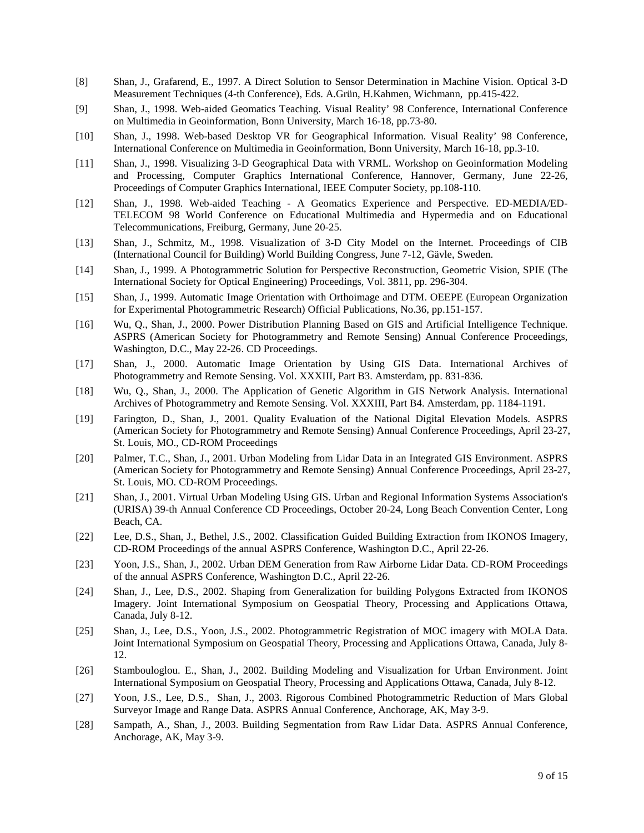- [8] Shan, J., Grafarend, E., 1997. A Direct Solution to Sensor Determination in Machine Vision. Optical 3-D Measurement Techniques (4-th Conference), Eds. A.Grün, H.Kahmen, Wichmann, pp.415-422.
- [9] Shan, J., 1998. Web-aided Geomatics Teaching. Visual Reality' 98 Conference, International Conference on Multimedia in Geoinformation, Bonn University, March 16-18, pp.73-80.
- [10] Shan, J., 1998. Web-based Desktop VR for Geographical Information. Visual Reality' 98 Conference, International Conference on Multimedia in Geoinformation, Bonn University, March 16-18, pp.3-10.
- [11] Shan, J., 1998. Visualizing 3-D Geographical Data with VRML. Workshop on Geoinformation Modeling and Processing, Computer Graphics International Conference, Hannover, Germany, June 22-26, Proceedings of Computer Graphics International, IEEE Computer Society, pp.108-110.
- [12] Shan, J., 1998. Web-aided Teaching A Geomatics Experience and Perspective. ED-MEDIA/ED-TELECOM 98 World Conference on Educational Multimedia and Hypermedia and on Educational Telecommunications, Freiburg, Germany, June 20-25.
- [13] Shan, J., Schmitz, M., 1998. Visualization of 3-D City Model on the Internet. Proceedings of CIB (International Council for Building) World Building Congress, June 7-12, Gävle, Sweden.
- [14] Shan, J., 1999. A Photogrammetric Solution for Perspective Reconstruction, Geometric Vision, SPIE (The International Society for Optical Engineering) Proceedings, Vol. 3811, pp. 296-304.
- [15] Shan, J., 1999. Automatic Image Orientation with Orthoimage and DTM. OEEPE (European Organization for Experimental Photogrammetric Research) Official Publications, No.36, pp.151-157.
- [16] Wu, Q., Shan, J., 2000. Power Distribution Planning Based on GIS and Artificial Intelligence Technique. ASPRS (American Society for Photogrammetry and Remote Sensing) Annual Conference Proceedings, Washington, D.C., May 22-26. CD Proceedings.
- [17] Shan, J., 2000. Automatic Image Orientation by Using GIS Data. International Archives of Photogrammetry and Remote Sensing. Vol. XXXIII, Part B3. Amsterdam, pp. 831-836.
- [18] Wu, Q., Shan, J., 2000. The Application of Genetic Algorithm in GIS Network Analysis. International Archives of Photogrammetry and Remote Sensing. Vol. XXXIII, Part B4. Amsterdam, pp. 1184-1191.
- [19] Farington, D., Shan, J., 2001. Quality Evaluation of the National Digital Elevation Models. ASPRS (American Society for Photogrammetry and Remote Sensing) Annual Conference Proceedings, April 23-27, St. Louis, MO., CD-ROM Proceedings
- [20] Palmer, T.C., Shan, J., 2001. Urban Modeling from Lidar Data in an Integrated GIS Environment. ASPRS (American Society for Photogrammetry and Remote Sensing) Annual Conference Proceedings, April 23-27, St. Louis, MO. CD-ROM Proceedings.
- [21] Shan, J., 2001. Virtual Urban Modeling Using GIS. Urban and Regional Information Systems Association's (URISA) 39-th Annual Conference CD Proceedings, October 20-24, Long Beach Convention Center, Long Beach, CA.
- [22] Lee, D.S., Shan, J., Bethel, J.S., 2002. Classification Guided Building Extraction from IKONOS Imagery, CD-ROM Proceedings of the annual ASPRS Conference, Washington D.C., April 22-26.
- [23] Yoon, J.S., Shan, J., 2002. Urban DEM Generation from Raw Airborne Lidar Data. CD-ROM Proceedings of the annual ASPRS Conference, Washington D.C., April 22-26.
- [24] Shan, J., Lee, D.S., 2002. Shaping from Generalization for building Polygons Extracted from IKONOS Imagery. Joint International Symposium on Geospatial Theory, Processing and Applications Ottawa, Canada, July 8-12.
- [25] Shan, J., Lee, D.S., Yoon, J.S., 2002. Photogrammetric Registration of MOC imagery with MOLA Data. Joint International Symposium on Geospatial Theory, Processing and Applications Ottawa, Canada, July 8- 12.
- [26] Stambouloglou. E., Shan, J., 2002. Building Modeling and Visualization for Urban Environment. Joint International Symposium on Geospatial Theory, Processing and Applications Ottawa, Canada, July 8-12.
- [27] Yoon, J.S., Lee, D.S., Shan, J., 2003. Rigorous Combined Photogrammetric Reduction of Mars Global Surveyor Image and Range Data. ASPRS Annual Conference, Anchorage, AK, May 3-9.
- [28] Sampath, A., Shan, J., 2003. Building Segmentation from Raw Lidar Data. ASPRS Annual Conference, Anchorage, AK, May 3-9.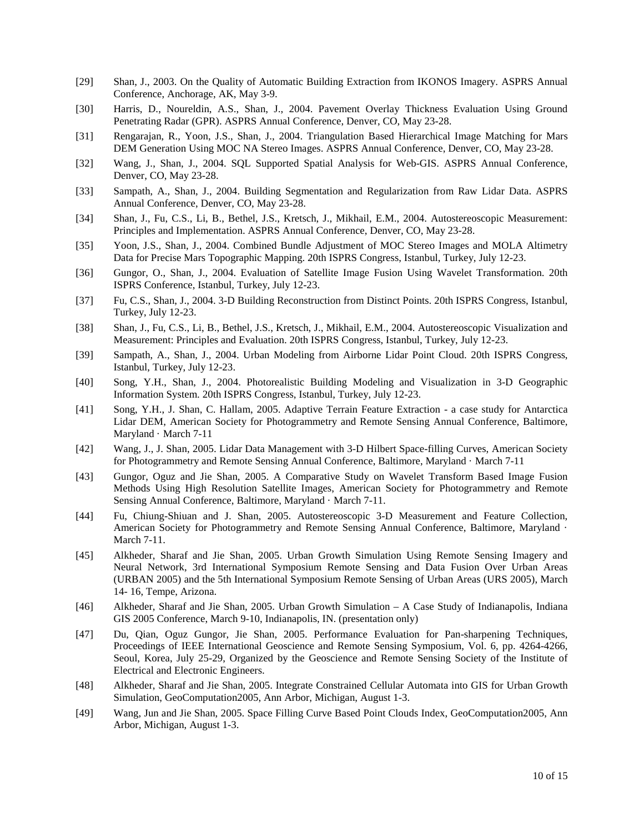- [29] Shan, J., 2003. On the Quality of Automatic Building Extraction from IKONOS Imagery. ASPRS Annual Conference, Anchorage, AK, May 3-9.
- [30] Harris, D., Noureldin, A.S., Shan, J., 2004. Pavement Overlay Thickness Evaluation Using Ground Penetrating Radar (GPR). ASPRS Annual Conference, Denver, CO, May 23-28.
- [31] Rengarajan, R., Yoon, J.S., Shan, J., 2004. Triangulation Based Hierarchical Image Matching for Mars DEM Generation Using MOC NA Stereo Images. ASPRS Annual Conference, Denver, CO, May 23-28.
- [32] Wang, J., Shan, J., 2004. SQL Supported Spatial Analysis for Web-GIS. ASPRS Annual Conference, Denver, CO, May 23-28.
- [33] Sampath, A., Shan, J., 2004. Building Segmentation and Regularization from Raw Lidar Data. ASPRS Annual Conference, Denver, CO, May 23-28.
- [34] Shan, J., Fu, C.S., Li, B., Bethel, J.S., Kretsch, J., Mikhail, E.M., 2004. Autostereoscopic Measurement: Principles and Implementation. ASPRS Annual Conference, Denver, CO, May 23-28.
- [35] Yoon, J.S., Shan, J., 2004. Combined Bundle Adjustment of MOC Stereo Images and MOLA Altimetry Data for Precise Mars Topographic Mapping. 20th ISPRS Congress, Istanbul, Turkey, July 12-23.
- [36] Gungor, O., Shan, J., 2004. Evaluation of Satellite Image Fusion Using Wavelet Transformation. 20th ISPRS Conference, Istanbul, Turkey, July 12-23.
- [37] Fu, C.S., Shan, J., 2004. 3-D Building Reconstruction from Distinct Points. 20th ISPRS Congress, Istanbul, Turkey, July 12-23.
- [38] Shan, J., Fu, C.S., Li, B., Bethel, J.S., Kretsch, J., Mikhail, E.M., 2004. Autostereoscopic Visualization and Measurement: Principles and Evaluation. 20th ISPRS Congress, Istanbul, Turkey, July 12-23.
- [39] Sampath, A., Shan, J., 2004. Urban Modeling from Airborne Lidar Point Cloud. 20th ISPRS Congress, Istanbul, Turkey, July 12-23.
- [40] Song, Y.H., Shan, J., 2004. Photorealistic Building Modeling and Visualization in 3-D Geographic Information System. 20th ISPRS Congress, Istanbul, Turkey, July 12-23.
- [41] Song, Y.H., J. Shan, C. Hallam, 2005. Adaptive Terrain Feature Extraction a case study for Antarctica Lidar DEM, American Society for Photogrammetry and Remote Sensing Annual Conference, Baltimore, Maryland · March 7-11
- [42] Wang, J., J. Shan, 2005. Lidar Data Management with 3-D Hilbert Space-filling Curves, American Society for Photogrammetry and Remote Sensing Annual Conference, Baltimore, Maryland · March 7-11
- [43] Gungor, Oguz and Jie Shan, 2005. A Comparative Study on Wavelet Transform Based Image Fusion Methods Using High Resolution Satellite Images, American Society for Photogrammetry and Remote Sensing Annual Conference, Baltimore, Maryland · March 7-11.
- [44] Fu, Chiung-Shiuan and J. Shan, 2005. Autostereoscopic 3-D Measurement and Feature Collection, American Society for Photogrammetry and Remote Sensing Annual Conference, Baltimore, Maryland · March 7-11.
- [45] Alkheder, Sharaf and Jie Shan, 2005. Urban Growth Simulation Using Remote Sensing Imagery and Neural Network, 3rd International Symposium Remote Sensing and Data Fusion Over Urban Areas (URBAN 2005) and the 5th International Symposium Remote Sensing of Urban Areas (URS 2005), March 14- 16, Tempe, Arizona.
- [46] Alkheder, Sharaf and Jie Shan, 2005. Urban Growth Simulation A Case Study of Indianapolis, Indiana GIS 2005 Conference, March 9-10, Indianapolis, IN. (presentation only)
- [47] Du, Qian, Oguz Gungor, Jie Shan, 2005. Performance Evaluation for Pan-sharpening Techniques, Proceedings of IEEE International Geoscience and Remote Sensing Symposium, Vol. 6, pp. 4264-4266, Seoul, Korea, July 25-29, Organized by the Geoscience and Remote Sensing Society of the Institute of Electrical and Electronic Engineers.
- [48] Alkheder, Sharaf and Jie Shan, 2005. Integrate Constrained Cellular Automata into GIS for Urban Growth Simulation, GeoComputation2005, Ann Arbor, Michigan, August 1-3.
- [49] Wang, Jun and Jie Shan, 2005. Space Filling Curve Based Point Clouds Index, GeoComputation2005, Ann Arbor, Michigan, August 1-3.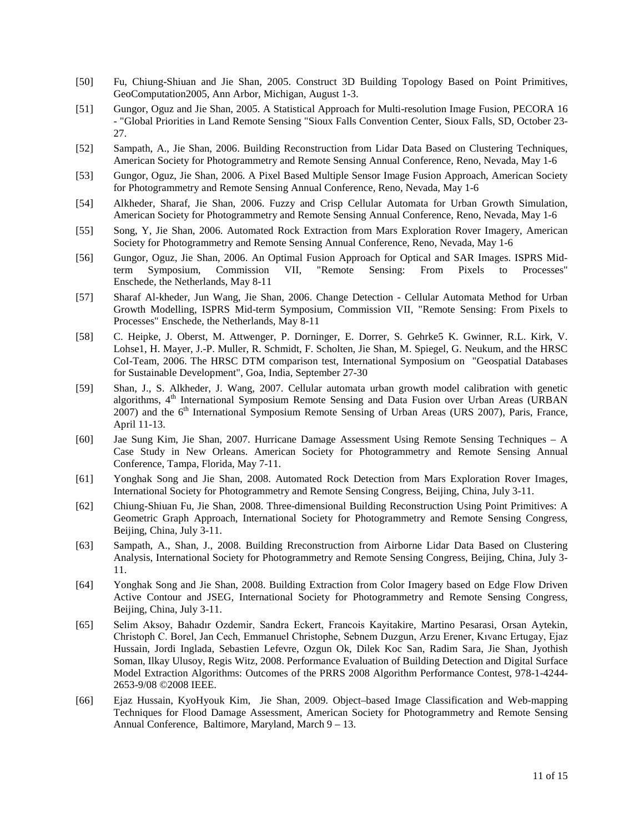- [50] Fu, Chiung-Shiuan and Jie Shan, 2005. Construct 3D Building Topology Based on Point Primitives, GeoComputation2005, Ann Arbor, Michigan, August 1-3.
- [51] Gungor, Oguz and Jie Shan, 2005. A Statistical Approach for Multi-resolution Image Fusion[, PECORA 16](http://www.asprs.org/pecora16/index.html) - "Global Priorities in Land Remote Sensing "Sioux Falls Convention Center, Sioux Falls, SD, October 23- 27.
- [52] Sampath, A., Jie Shan, 2006. Building Reconstruction from Lidar Data Based on Clustering Techniques, American Society for Photogrammetry and Remote Sensing Annual Conference, Reno, Nevada, May 1-6
- [53] Gungor, Oguz, Jie Shan, 2006. A Pixel Based Multiple Sensor Image Fusion Approach, American Society for Photogrammetry and Remote Sensing Annual Conference, Reno, Nevada, May 1-6
- [54] Alkheder, Sharaf, Jie Shan, 2006. Fuzzy and Crisp Cellular Automata for Urban Growth Simulation, American Society for Photogrammetry and Remote Sensing Annual Conference, Reno, Nevada, May 1-6
- [55] Song, Y, Jie Shan, 2006. Automated Rock Extraction from Mars Exploration Rover Imagery, American Society for Photogrammetry and Remote Sensing Annual Conference, Reno, Nevada, May 1-6
- [56] Gungor, Oguz, Jie Shan, 2006. An Optimal Fusion Approach for Optical and SAR Images. ISPRS Midterm Symposium, Commission VII, "Remote Sensing: From Pixels to Processes" Enschede, the Netherlands, May 8-11
- [57] Sharaf Al-kheder, Jun Wang, Jie Shan, 2006. Change Detection Cellular Automata Method for Urban Growth Modelling, ISPRS Mid-term Symposium, Commission VII, "Remote Sensing: From Pixels to Processes" Enschede, the Netherlands, May 8-11
- [58] C. Heipke, J. Oberst, M. Attwenger, P. Dorninger, E. Dorrer, S. Gehrke5 K. Gwinner, R.L. Kirk, V. Lohse1, H. Mayer, J.-P. Muller, R. Schmidt, F. Scholten, Jie Shan, M. Spiegel, G. Neukum, and the HRSC CoI-Team, 2006. The HRSC DTM comparison test, International Symposium on "Geospatial Databases for Sustainable Development", Goa, India, September 27-30
- [59] Shan, J., S. Alkheder, J. Wang, 2007. Cellular automata urban growth model calibration with genetic algorithms, 4<sup>th</sup> International Symposium Remote Sensing and Data Fusion over Urban Areas (URBAN 2007) and the 6<sup>th</sup> International Symposium Remote Sensing of Urban Areas (URS 2007), Paris, France, April 11-13.
- [60] Jae Sung Kim, Jie Shan, 2007. Hurricane Damage Assessment Using Remote Sensing Techniques A Case Study in New Orleans. American Society for Photogrammetry and Remote Sensing Annual Conference, Tampa, Florida, May 7-11.
- [61] Yonghak Song and Jie Shan, 2008. Automated Rock Detection from Mars Exploration Rover Images, International Society for Photogrammetry and Remote Sensing Congress, Beijing, China, July 3-11.
- [62] Chiung-Shiuan Fu, Jie Shan, 2008. Three-dimensional Building Reconstruction Using Point Primitives: A Geometric Graph Approach, International Society for Photogrammetry and Remote Sensing Congress, Beijing, China, July 3-11.
- [63] Sampath, A., Shan, J., 2008. Building Rreconstruction from Airborne Lidar Data Based on Clustering Analysis, International Society for Photogrammetry and Remote Sensing Congress, Beijing, China, July 3- 11.
- [64] Yonghak Song and Jie Shan, 2008. Building Extraction from Color Imagery based on Edge Flow Driven Active Contour and JSEG, International Society for Photogrammetry and Remote Sensing Congress, Beijing, China, July 3-11.
- [65] Selim Aksoy, Bahadır Ozdemir, Sandra Eckert, Francois Kayitakire, Martino Pesarasi, Orsan Aytekin, Christoph C. Borel, Jan Cech, Emmanuel Christophe, Sebnem Duzgun, Arzu Erener, Kıvanc Ertugay, Ejaz Hussain, Jordi Inglada, Sebastien Lefevre, Ozgun Ok, Dilek Koc San, Radim Sara, Jie Shan, Jyothish Soman, Ilkay Ulusoy, Regis Witz, 2008. Performance Evaluation of Building Detection and Digital Surface Model Extraction Algorithms: Outcomes of the PRRS 2008 Algorithm Performance Contest, 978-1-4244- 2653-9/08 ©2008 IEEE.
- [66] Ejaz Hussain, KyoHyouk Kim, Jie Shan, 2009. Object–based Image Classification and Web-mapping Techniques for Flood Damage Assessment, American Society for Photogrammetry and Remote Sensing Annual Conference, Baltimore, Maryland, March 9 – 13.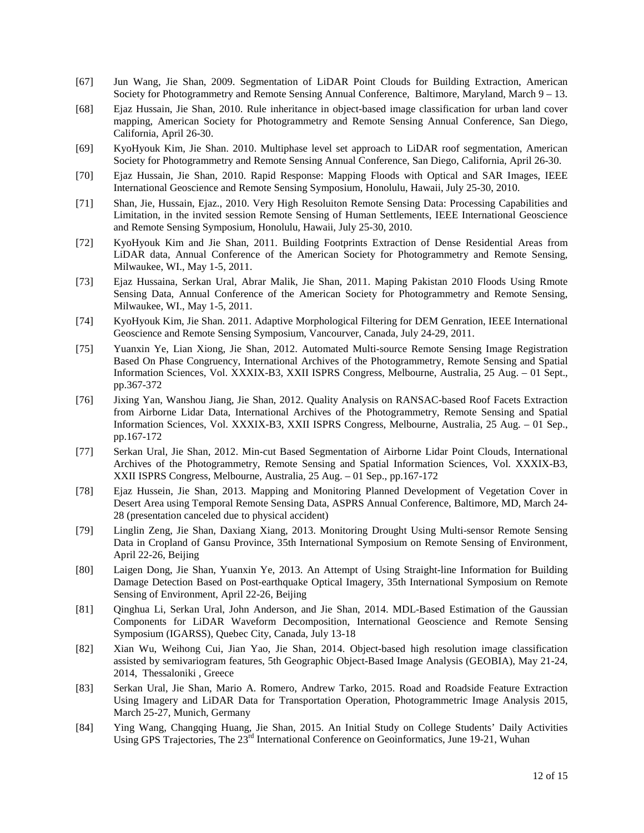- [67] Jun Wang, Jie Shan, 2009. Segmentation of LiDAR Point Clouds for Building Extraction, American Society for Photogrammetry and Remote Sensing Annual Conference, Baltimore, Maryland, March 9 – 13.
- [68] Ejaz Hussain, Jie Shan, 2010. Rule inheritance in object-based image classification for urban land cover mapping, American Society for Photogrammetry and Remote Sensing Annual Conference, San Diego, California, April 26-30.
- [69] KyoHyouk Kim, Jie Shan. 2010. Multiphase level set approach to LiDAR roof segmentation, American Society for Photogrammetry and Remote Sensing Annual Conference, San Diego, California, April 26-30.
- [70] Ejaz Hussain, Jie Shan, 2010. Rapid Response: Mapping Floods with Optical and SAR Images, IEEE International Geoscience and Remote Sensing Symposium, Honolulu, Hawaii, July 25-30, 2010.
- [71] Shan, Jie, Hussain, Ejaz., 2010. Very High Resoluiton Remote Sensing Data: Processing Capabilities and Limitation, in the invited session Remote Sensing of Human Settlements, IEEE International Geoscience and Remote Sensing Symposium, Honolulu, Hawaii, July 25-30, 2010.
- [72] KyoHyouk Kim and Jie Shan, 2011. Building Footprints Extraction of Dense Residential Areas from LiDAR data, Annual Conference of the American Society for Photogrammetry and Remote Sensing, Milwaukee, WI., May 1-5, 2011.
- [73] Ejaz Hussaina, Serkan Ural, Abrar Malik, Jie Shan, 2011. Maping Pakistan 2010 Floods Using Rmote Sensing Data, Annual Conference of the American Society for Photogrammetry and Remote Sensing, Milwaukee, WI., May 1-5, 2011.
- [74] KyoHyouk Kim, Jie Shan. 2011. Adaptive Morphological Filtering for DEM Genration, IEEE International Geoscience and Remote Sensing Symposium, Vancourver, Canada, July 24-29, 2011.
- [75] Yuanxin Ye, Lian Xiong, Jie Shan, 2012. Automated Multi-source Remote Sensing Image Registration Based On Phase Congruency, International Archives of the Photogrammetry, Remote Sensing and Spatial Information Sciences, Vol. XXXIX-B3, XXII ISPRS Congress, Melbourne, Australia, 25 Aug. – 01 Sept., pp.367-372
- [76] Jixing Yan, Wanshou Jiang, Jie Shan, 2012. Quality Analysis on RANSAC-based Roof Facets Extraction from Airborne Lidar Data, International Archives of the Photogrammetry, Remote Sensing and Spatial Information Sciences, Vol. XXXIX-B3, XXII ISPRS Congress, Melbourne, Australia, 25 Aug. – 01 Sep., pp.167-172
- [77] Serkan Ural, Jie Shan, 2012. Min-cut Based Segmentation of Airborne Lidar Point Clouds, International Archives of the Photogrammetry, Remote Sensing and Spatial Information Sciences, Vol. XXXIX-B3, XXII ISPRS Congress, Melbourne, Australia, 25 Aug. – 01 Sep., pp.167-172
- [78] Ejaz Hussein, Jie Shan, 2013. Mapping and Monitoring Planned Development of Vegetation Cover in Desert Area using Temporal Remote Sensing Data, ASPRS Annual Conference, Baltimore, MD, March 24- 28 (presentation canceled due to physical accident)
- [79] Linglin Zeng, Jie Shan, Daxiang Xiang, 2013. Monitoring Drought Using Multi-sensor Remote Sensing Data in Cropland of Gansu Province, 35th International Symposium on Remote Sensing of Environment, April 22-26, Beijing
- [80] Laigen Dong, Jie Shan, Yuanxin Ye, 2013. An Attempt of Using Straight-line Information for Building Damage Detection Based on Post-earthquake Optical Imagery, 35th International Symposium on Remote Sensing of Environment, April 22-26, Beijing
- [81] Qinghua Li, Serkan Ural, John Anderson, and Jie Shan, 2014. MDL-Based Estimation of the Gaussian Components for LiDAR Waveform Decomposition, International Geoscience and Remote Sensing Symposium (IGARSS), Quebec City, Canada, July 13-18
- [82] Xian Wu, Weihong Cui, Jian Yao, Jie Shan, 2014. Object-based high resolution image classification assisted by semivariogram features, 5th Geographic Object-Based Image Analysis (GEOBIA), May 21-24, 2014, Thessaloniki , Greece
- [83] Serkan Ural, Jie Shan, Mario A. Romero, Andrew Tarko, 2015. Road and Roadside Feature Extraction Using Imagery and LiDAR Data for Transportation Operation, Photogrammetric Image Analysis 2015, March 25-27, Munich, Germany
- [84] Ying Wang, Changqing Huang, Jie Shan, 2015. An Initial Study on College Students' Daily Activities Using GPS Trajectories, The 23<sup>rd</sup> International Conference on Geoinformatics, June 19-21, Wuhan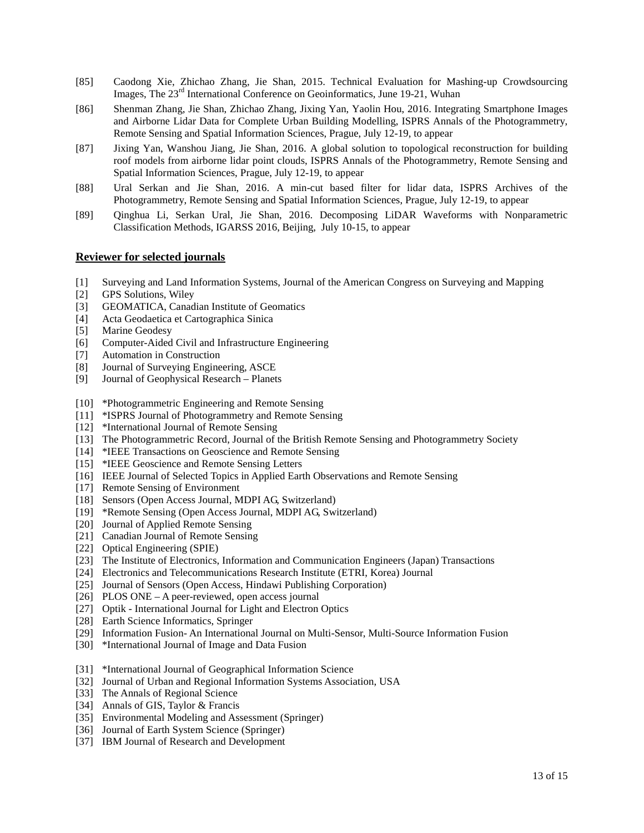- [85] Caodong Xie, Zhichao Zhang, Jie Shan, 2015. Technical Evaluation for Mashing-up Crowdsourcing Images, The 23<sup>rd</sup> International Conference on Geoinformatics, June 19-21, Wuhan
- [86] Shenman Zhang, Jie Shan, Zhichao Zhang, Jixing Yan, Yaolin Hou, 2016. Integrating Smartphone Images and Airborne Lidar Data for Complete Urban Building Modelling, ISPRS Annals of the Photogrammetry, Remote Sensing and Spatial Information Sciences, Prague, July 12-19, to appear
- [87] Jixing Yan, Wanshou Jiang, Jie Shan, 2016. A global solution to topological reconstruction for building roof models from airborne lidar point clouds, ISPRS Annals of the Photogrammetry, Remote Sensing and Spatial Information Sciences, Prague, July 12-19, to appear
- [88] Ural Serkan and Jie Shan, 2016. A min-cut based filter for lidar data, ISPRS Archives of the Photogrammetry, Remote Sensing and Spatial Information Sciences, Prague, July 12-19, to appear
- [89] Qinghua Li, Serkan Ural, Jie Shan, 2016. Decomposing LiDAR Waveforms with Nonparametric Classification Methods, IGARSS 2016, Beijing, July 10-15, to appear

#### **Reviewer for selected journals**

- [1] Surveying and Land Information Systems, Journal of the American Congress on Surveying and Mapping
- [2] GPS Solutions, Wiley
- [3] GEOMATICA, Canadian Institute of Geomatics
- [4] Acta Geodaetica et Cartographica Sinica
- [5] Marine Geodesy
- [6] Computer-Aided Civil and Infrastructure Engineering
- [7] Automation in Construction
- [8] Journal of Surveying Engineering, ASCE
- [9] Journal of Geophysical Research Planets
- [10] \*Photogrammetric Engineering and Remote Sensing
- [11] \*ISPRS Journal of Photogrammetry and Remote Sensing
- [12] \*International Journal of Remote Sensing
- [13] The Photogrammetric Record, Journal of the British Remote Sensing and Photogrammetry Society
- [14] \*IEEE Transactions on Geoscience and Remote Sensing
- [15] \*IEEE Geoscience and Remote Sensing Letters
- [16] IEEE Journal of Selected Topics in Applied Earth Observations and Remote Sensing
- [17] Remote Sensing of Environment
- [18] Sensors (Open Access Journal, MDPI AG, Switzerland)
- [19] \*Remote Sensing (Open Access Journal, MDPI AG, Switzerland)
- [20] Journal of Applied Remote Sensing
- [21] Canadian Journal of Remote Sensing
- [22] Optical Engineering (SPIE)
- [23] The Institute of Electronics, Information and Communication Engineers (Japan) Transactions
- [24] Electronics and Telecommunications Research Institute (ETRI, Korea) Journal
- [25] Journal of Sensors (Open Access, Hindawi Publishing Corporation)
- [26] PLOS ONE A peer-reviewed, open access journal
- [27] Optik International Journal for Light and Electron Optics
- [28] Earth Science Informatics, Springer
- [29] Information Fusion- An International Journal on Multi-Sensor, Multi-Source Information Fusion
- [30] \*International Journal of Image and Data Fusion
- [31] \*International Journal of Geographical Information Science
- [32] Journal of Urban and Regional Information Systems Association, USA
- [33] The Annals of Regional Science
- [34] Annals of GIS, Taylor & Francis
- [35] Environmental Modeling and Assessment (Springer)
- [36] Journal of Earth System Science (Springer)
- [37] IBM Journal of Research and Development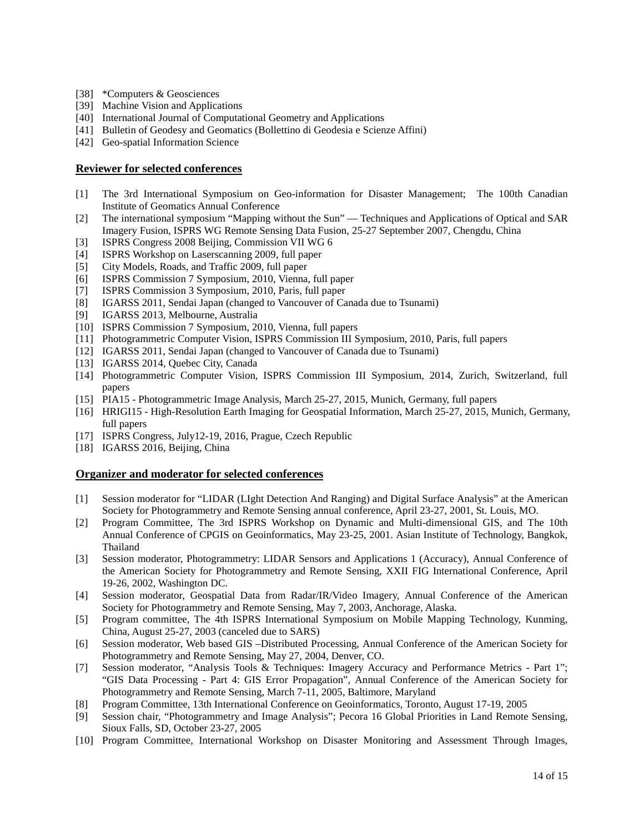- [38] \*Computers & Geosciences
- [39] Machine Vision and Applications
- [40] International Journal of Computational Geometry and Applications
- [41] Bulletin of Geodesy and Geomatics (Bollettino di Geodesia e Scienze Affini)
- [42] Geo-spatial Information Science

#### **Reviewer for selected conferences**

- [1] The 3rd International Symposium on Geo-information for Disaster Management; The 100th Canadian Institute of Geomatics Annual Conference
- [2] The international symposium "Mapping without the Sun" Techniques and Applications of Optical and SAR Imagery Fusion, ISPRS WG Remote Sensing Data Fusion, 25-27 September 2007, Chengdu, China
- [3] ISPRS Congress 2008 Beijing, Commission VII WG 6
- [4] ISPRS Workshop on Laserscanning 2009, full paper
- [5] City Models, Roads, and Traffic 2009, full paper
- [6] ISPRS Commission 7 Symposium, 2010, Vienna, full paper
- [7] ISPRS Commission 3 Symposium, 2010, Paris, full paper [8] IGARSS 2011, Sendai Japan (changed to Vancouver of Ca
- [8] IGARSS 2011, Sendai Japan (changed to Vancouver of Canada due to Tsunami)
- [9] IGARSS 2013, Melbourne, Australia
- [10] ISPRS Commission 7 Symposium, 2010, Vienna, full papers
- [11] Photogrammetric Computer Vision, ISPRS Commission III Symposium, 2010, Paris, full papers
- [12] IGARSS 2011, Sendai Japan (changed to Vancouver of Canada due to Tsunami)
- [13] IGARSS 2014, Quebec City, Canada
- [14] Photogrammetric Computer Vision, ISPRS Commission III Symposium, 2014, Zurich, Switzerland, full papers
- [15] PIA15 Photogrammetric Image Analysis, March 25-27, 2015, Munich, Germany, full papers
- [16] HRIGI15 High-Resolution Earth Imaging for Geospatial Information, March 25-27, 2015, Munich, Germany, full papers
- [17] ISPRS Congress, July12-19, 2016, Prague, Czech Republic
- [18] IGARSS 2016, Beijing, China

#### **Organizer and moderator for selected conferences**

- [1] Session moderator for "LIDAR (LIght Detection And Ranging) and Digital Surface Analysis" at the American Society for Photogrammetry and Remote Sensing annual conference, April 23-27, 2001, St. Louis, MO.
- [2] Program Committee, The 3rd ISPRS Workshop on Dynamic and Multi-dimensional GIS, and The 10th Annual Conference of CPGIS on Geoinformatics, May 23-25, 2001. Asian Institute of Technology, Bangkok, Thailand
- [3] Session moderator, Photogrammetry: LIDAR Sensors and Applications 1 (Accuracy), Annual Conference of the American Society for Photogrammetry and Remote Sensing, XXII FIG International Conference, April 19-26, 2002, Washington DC.
- [4] Session moderator, Geospatial Data from Radar/IR/Video Imagery, Annual Conference of the American Society for Photogrammetry and Remote Sensing, May 7, 2003, Anchorage, Alaska.
- [5] Program committee, The 4th ISPRS International Symposium on Mobile Mapping Technology, Kunming, China, August 25-27, 2003 (canceled due to SARS)
- [6] Session moderator, Web based GIS –Distributed Processing, Annual Conference of the American Society for Photogrammetry and Remote Sensing, May 27, 2004, Denver, CO.
- [7] Session moderator, "Analysis Tools & Techniques: Imagery Accuracy and Performance Metrics Part 1"; "GIS Data Processing - Part 4: GIS Error Propagation", Annual Conference of the American Society for Photogrammetry and Remote Sensing, March 7-11, 2005, Baltimore, Maryland
- [8] Program Committee, 13th International Conference on Geoinformatics, Toronto, August 17-19, 2005
- [9] Session chair, "Photogrammetry and Image Analysis"; Pecora 16 Global Priorities in Land Remote Sensing, Sioux Falls, SD, October 23-27, 2005
- [10] Program Committee, International Workshop on Disaster Monitoring and Assessment Through Images,